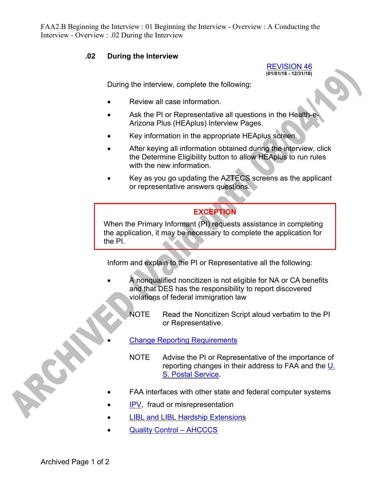FAA2.B Beginning the Interview : 01 Beginning the Interview - Overview : A Conducting the Interview - Overview : .02 During the Interview

## **.02 During the Interview**

REVISION 46 **(01/01/18 - 12/31/18)** 

During the interview, complete the following:

- Review all case information.
- Ask the PI or Representative all questions in the Health-e Arizona Plus (HEAplus) Interview Pages.
- Key information in the appropriate HEAplus screen.
- After keying all information obtained during the interview, click the Determine Eligibility button to allow HEAplus to run rules with the new information.
- Key as you go updating the AZTECS screens as the applicant or representative answers questions.

## **EXCEPTION**

When the Primary Informant (PI) requests assistance in completing the application, it may be necessary to complete the application for the PI.

Inform and explain to the PI or Representative all the following:

- A nonqualified noncitizen is not eligible for NA or CA benefits and that DES has the responsibility to report discovered violations of federal immigration law
	- NOTE Read the Noncitizen Script aloud verbatim to the PI or Representative.
	- Change Reporting Requirements
		- NOTE Advise the PI or Representative of the importance of reporting changes in their address to FAA and the U. S. Postal Service.
- FAA interfaces with other state and federal computer systems
- IPV, fraud or misrepresentation
- LIBL and LIBL Hardship Extensions
- Quality Control AHCCCS